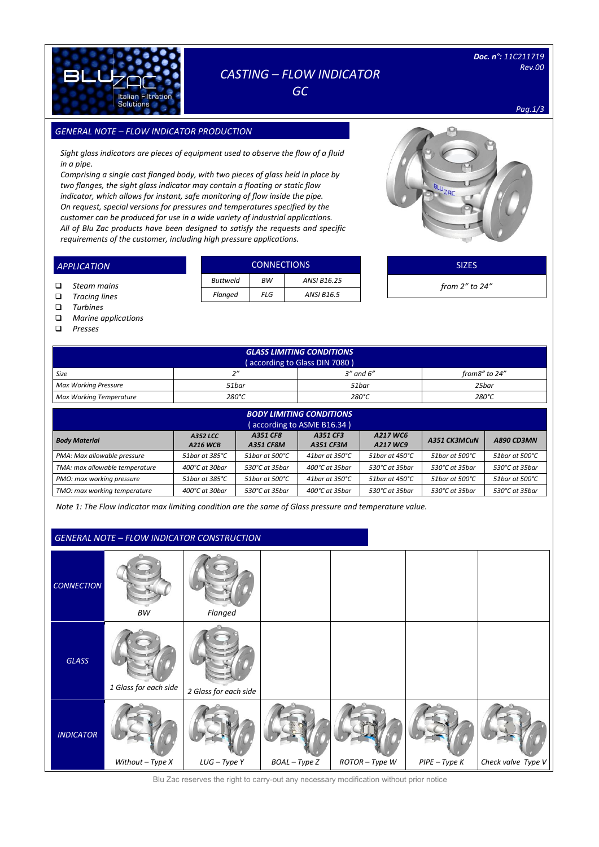

## *CASTING – FLOW INDICATOR*

*GC* 

*Pag.1/3*

### *GENERAL NOTE – FLOW INDICATOR PRODUCTION SIZES*

*Sight glass indicators are pieces of equipment used to observe the flow of a fluid in a pipe.*

*Comprising a single cast flanged body, with two pieces of glass held in place by two flanges, the sight glass indicator may contain a floating or static flow indicator, which allows for instant, safe monitoring of flow inside the pipe. On request, special versions for pressures and temperatures specified by the customer can be produced for use in a wide variety of industrial applications. All of Blu Zac products have been designed to satisfy the requests and specific requirements of the customer, including high pressure applications.* 



| <b>APPLICATION</b> | <b>CONNECTIONS</b> |           |                   |  | <b>SIZES</b>         |
|--------------------|--------------------|-----------|-------------------|--|----------------------|
| Steam mains        | <b>Buttweld</b>    | <b>BW</b> | ANSI B16.25       |  | from $2''$ to $24''$ |
| Tracing lines<br>□ | Flanged            | FLG       | <b>ANSI B16.5</b> |  |                      |

- *Turbines*
- *Marine applications*

*Presses*

| <b>GLASS LIMITING CONDITIONS</b><br>(according to Glass DIN 7080) |                 |                 |                 |  |  |  |  |
|-------------------------------------------------------------------|-----------------|-----------------|-----------------|--|--|--|--|
| Size                                                              | $\gamma$        | $3''$ and $6''$ | from8" to 24"   |  |  |  |  |
| Max Working Pressure                                              | 51bar           | 51bar           | 25bar           |  |  |  |  |
| <b>Max Working Temperature</b>                                    | $280^{\circ}$ C | 280°C           | $280^{\circ}$ C |  |  |  |  |

| <b>BODY LIMITING CONDITIONS</b> |                           |                   |                          |                           |                            |                |  |  |  |  |
|---------------------------------|---------------------------|-------------------|--------------------------|---------------------------|----------------------------|----------------|--|--|--|--|
| (according to ASME B16.34)      |                           |                   |                          |                           |                            |                |  |  |  |  |
| <b>Body Material</b>            | A351 CK3MCuN              | <b>A890 CD3MN</b> |                          |                           |                            |                |  |  |  |  |
| PMA: Max allowable pressure     | 51bar at 385°C            | 51 bar at 500 °C  | 41bar at $350^{\circ}$ C | 51 bar at $450^{\circ}$ C | 51 bar at 500 $^{\circ}$ C | 51bar at 500°C |  |  |  |  |
| TMA: max allowable temperature  | $400^{\circ}$ C at 30 har | 530°C at 35bar    | 400°C at 35bar           | 530°C at 35bar            | 530°C at 35bar             | 530°C at 35bar |  |  |  |  |
| PMO: max working pressure       | 51bar at 385°C            | 51bar at 500°C    | 41bar at 350°C           | 51bar at 450°C            | 51bar at 500°C             | 51bar at 500°C |  |  |  |  |
| TMO: max working temperature    | 400°C at 30bar            | 530°C at 35bar    | 400°C at 35bar           | 530°C at 35bar            | 530℃ at 35bar              | 530°C at 35bar |  |  |  |  |

*Note 1: The Flow indicator max limiting condition are the same of Glass pressure and temperature value.*

### *GENERAL NOTE – FLOW INDICATOR CONSTRUCTION*

| <b>CONNECTION</b> | ВW                    | Flanged               |               |                |               |                    |
|-------------------|-----------------------|-----------------------|---------------|----------------|---------------|--------------------|
| <b>GLASS</b>      | 1 Glass for each side | 2 Glass for each side |               |                |               |                    |
| <b>INDICATOR</b>  | Without $-$ Type $X$  | $LUG - TypeY$         | BOAL - Type Z | ROTOR - Type W | PIPE - Type K | Check valve Type V |

Blu Zac reserves the right to carry-out any necessary modification without prior notice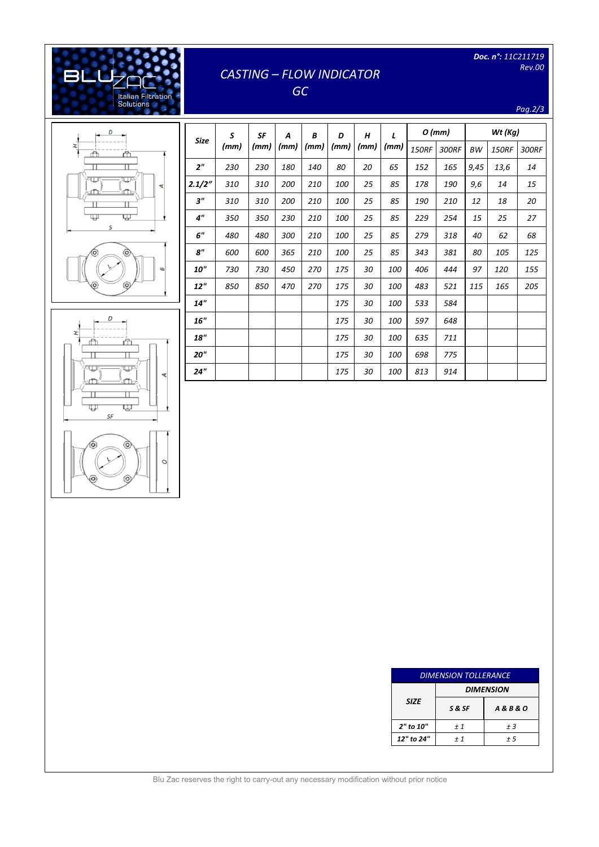# *CASTING – FLOW INDICATOR*

*Doc. n°: 11C211719 Rev.00* 

*Pag.2/3*

## *GC*



[Digitare il testo]

Italian Filtration<br>Solutions

**BLL** 

| <b>Size</b>    | S<br>(mm) | SF<br>(mm) | A<br>(mm) | B<br>(mm) | D<br>(mm) | H<br>(mm) | L<br>(mm) | $O$ (mm)     |       | Wt (Kg) |              |       |
|----------------|-----------|------------|-----------|-----------|-----------|-----------|-----------|--------------|-------|---------|--------------|-------|
|                |           |            |           |           |           |           |           | <b>150RF</b> | 300RF | ВW      | <b>150RF</b> | 300RF |
| 2 <sup>n</sup> | 230       | 230        | 180       | 140       | 80        | 20        | 65        | 152          | 165   | 9,45    | 13,6         | 14    |
| 2.1/2"         | 310       | 310        | 200       | 210       | 100       | 25        | 85        | 178          | 190   | 9,6     | 14           | 15    |
| 3"             | 310       | 310        | 200       | 210       | 100       | 25        | 85        | 190          | 210   | 12      | 18           | 20    |
| 4"             | 350       | 350        | 230       | 210       | 100       | 25        | 85        | 229          | 254   | 15      | 25           | 27    |
| 6"             | 480       | 480        | 300       | 210       | 100       | 25        | 85        | 279          | 318   | 40      | 62           | 68    |
| 8"             | 600       | 600        | 365       | 210       | 100       | 25        | 85        | 343          | 381   | 80      | 105          | 125   |
| <b>10"</b>     | 730       | 730        | 450       | 270       | 175       | 30        | 100       | 406          | 444   | 97      | 120          | 155   |
| 12"            | 850       | 850        | 470       | 270       | 175       | 30        | 100       | 483          | 521   | 115     | 165          | 205   |
| 14"            |           |            |           |           | 175       | 30        | 100       | 533          | 584   |         |              |       |
| 16"            |           |            |           |           | 175       | 30        | 100       | 597          | 648   |         |              |       |
| 18"            |           |            |           |           | 175       | 30        | 100       | 635          | 711   |         |              |       |
| 20"            |           |            |           |           | 175       | 30        | 100       | 698          | 775   |         |              |       |
| 24"            |           |            |           |           | 175       | 30        | 100       | 813          | 914   |         |              |       |





|             | <b>DIMENSION TOLLERANCE</b> |                      |  |  |  |  |
|-------------|-----------------------------|----------------------|--|--|--|--|
|             |                             | <b>DIMENSION</b>     |  |  |  |  |
| <b>SIZE</b> | S&SF                        | <b>A&amp;B&amp;O</b> |  |  |  |  |
| 2" to 10"   | ±1                          | ± 3                  |  |  |  |  |
| 12" to 24"  | $+1$                        | + 5                  |  |  |  |  |